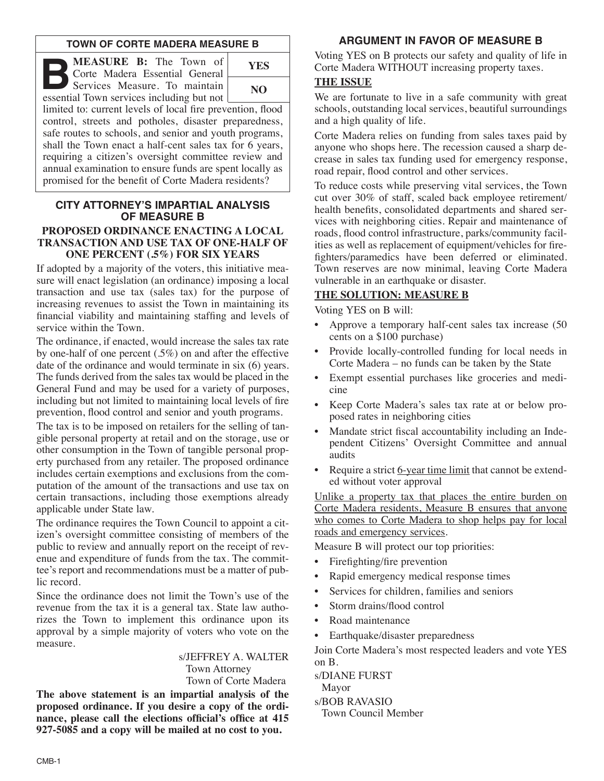#### **TOWN OF CORTE MADERA MEASURE B**

**B B:** The Town of Corte Madera Essential General Services Measure. To maintain essential Town services including but not Corte Madera Essential General essential Town services including but not limited to: current levels of local fire prevention, flood **YES NO**

control, streets and potholes, disaster preparedness, safe routes to schools, and senior and youth programs, shall the Town enact a half-cent sales tax for 6 years,

requiring a citizen's oversight committee review and annual examination to ensure funds are spent locally as promised for the benefit of Corte Madera residents?

#### **CITY ATTORNEY'S IMPARTIAL ANALYSIS OF MEASURE B PROPOSED ORDINANCE ENACTING A LOCAL**

# **TRANSACTION AND USE TAX OF ONE-HALF OF ONE PERCENT (.5%) FOR SIX YEARS**

If adopted by a majority of the voters, this initiative measure will enact legislation (an ordinance) imposing a local transaction and use tax (sales tax) for the purpose of increasing revenues to assist the Town in maintaining its financial viability and maintaining staffing and levels of service within the Town.

The ordinance, if enacted, would increase the sales tax rate by one-half of one percent (.5%) on and after the effective date of the ordinance and would terminate in six (6) years. The funds derived from the sales tax would be placed in the General Fund and may be used for a variety of purposes, including but not limited to maintaining local levels of fire prevention, flood control and senior and youth programs.

The tax is to be imposed on retailers for the selling of tangible personal property at retail and on the storage, use or other consumption in the Town of tangible personal property purchased from any retailer. The proposed ordinance includes certain exemptions and exclusions from the computation of the amount of the transactions and use tax on certain transactions, including those exemptions already applicable under State law.

The ordinance requires the Town Council to appoint a citizen's oversight committee consisting of members of the public to review and annually report on the receipt of revenue and expenditure of funds from the tax. The committee's report and recommendations must be a matter of public record.

Since the ordinance does not limit the Town's use of the revenue from the tax it is a general tax. State law authorizes the Town to implement this ordinance upon its approval by a simple majority of voters who vote on the measure.

### s/JEFFREY A. WALTER Town Attorney

Town of Corte Madera

**The above statement is an impartial analysis of the proposed ordinance. If you desire a copy of the ordinance, please call the elections official's office at 415 927-5085 and a copy will be mailed at no cost to you.**

## **ARGUMENT IN FAVOR OF MEASURE B**

Voting YES on B protects our safety and quality of life in Corte Madera WITHOUT increasing property taxes.

### **THE ISSUE**

We are fortunate to live in a safe community with great schools, outstanding local services, beautiful surroundings and a high quality of life.

Corte Madera relies on funding from sales taxes paid by anyone who shops here. The recession caused a sharp decrease in sales tax funding used for emergency response, road repair, flood control and other services.

To reduce costs while preserving vital services, the Town cut over 30% of staff, scaled back employee retirement/ health benefits, consolidated departments and shared services with neighboring cities. Repair and maintenance of roads, flood control infrastructure, parks/community facilities as well as replacement of equipment/vehicles for firefighters/paramedics have been deferred or eliminated. Town reserves are now minimal, leaving Corte Madera vulnerable in an earthquake or disaster.

## **THE SOLUTION: MEASURE B**

Voting YES on B will:

- Approve a temporary half-cent sales tax increase (50 cents on a \$100 purchase)
- Provide locally-controlled funding for local needs in Corte Madera – no funds can be taken by the State
- Exempt essential purchases like groceries and medicine
- Keep Corte Madera's sales tax rate at or below proposed rates in neighboring cities
- Mandate strict fiscal accountability including an Independent Citizens' Oversight Committee and annual audits
- Require a strict 6-year time limit that cannot be extended without voter approval

Unlike a property tax that places the entire burden on Corte Madera residents, Measure B ensures that anyone who comes to Corte Madera to shop helps pay for local roads and emergency services.

Measure B will protect our top priorities:

- Firefighting/fire prevention
- Rapid emergency medical response times
- Services for children, families and seniors
- Storm drains/flood control
- Road maintenance
- Earthquake/disaster preparedness

Join Corte Madera's most respected leaders and vote YES on B.

s/DIANE FURST Mayor s/BOB RAVASIO Town Council Member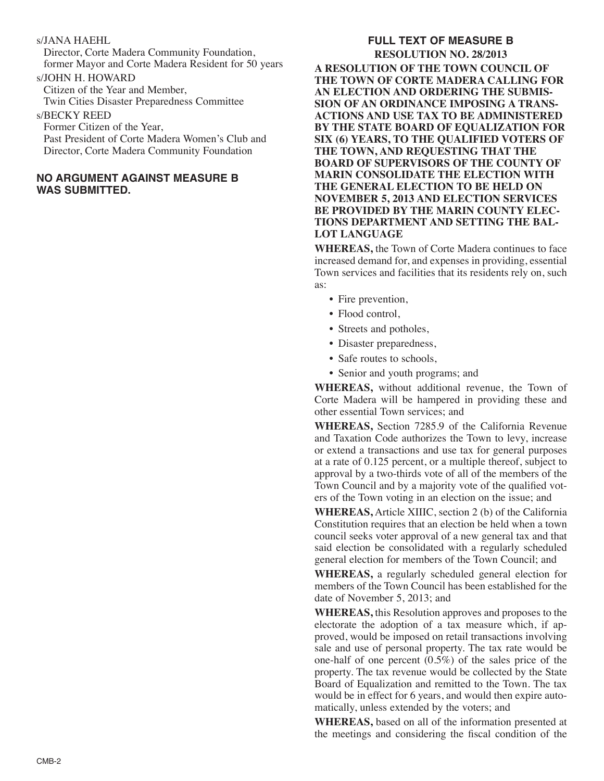#### s/JANA HAEHL

Director, Corte Madera Community Foundation, former Mayor and Corte Madera Resident for 50 years

### s/JOHN H. HOWARD

Citizen of the Year and Member, Twin Cities Disaster Preparedness Committee

### s/BECKY REED

Former Citizen of the Year, Past President of Corte Madera Women's Club and Director, Corte Madera Community Foundation

#### **NO ARGUMENT AGAINST MEASURE B WAS SUBMITTED.**

### **FULL TEXT OF MEASURE B RESOLUTION NO. 28/2013 A RESOLUTION OF THE TOWN COUNCIL OF THE TOWN OF CORTE MADERA CALLING FOR AN ELECTION AND ORDERING THE SUBMIS-SION OF AN ORDINANCE IMPOSING A TRANS-ACTIONS AND USE TAX TO BE ADMINISTERED BY THE STATE BOARD OF EQUALIZATION FOR SIX (6) YEARS, TO THE QUALIFIED VOTERS OF**

**THE TOWN, AND REQUESTING THAT THE BOARD OF SUPERVISORS OF THE COUNTY OF MARIN CONSOLIDATE THE ELECTION WITH THE GENERAL ELECTION TO BE HELD ON NOVEMBER 5, 2013 AND ELECTION SERVICES BE PROVIDED BY THE MARIN COUNTY ELEC-TIONS DEPARTMENT AND SETTING THE BAL-LOT LANGUAGE**

**WHEREAS,** the Town of Corte Madera continues to face increased demand for, and expenses in providing, essential Town services and facilities that its residents rely on, such as:

- Fire prevention,
- Flood control,
- Streets and potholes,
- Disaster preparedness,
- Safe routes to schools,
- Senior and youth programs; and

**WHEREAS,** without additional revenue, the Town of Corte Madera will be hampered in providing these and other essential Town services; and

**WHEREAS,** Section 7285.9 of the California Revenue and Taxation Code authorizes the Town to levy, increase or extend a transactions and use tax for general purposes at a rate of 0.125 percent, or a multiple thereof, subject to approval by a two-thirds vote of all of the members of the Town Council and by a majority vote of the qualified voters of the Town voting in an election on the issue; and

**WHEREAS,** Article XIIIC, section 2 (b) of the California Constitution requires that an election be held when a town council seeks voter approval of a new general tax and that said election be consolidated with a regularly scheduled general election for members of the Town Council; and

**WHEREAS,** a regularly scheduled general election for members of the Town Council has been established for the date of November 5, 2013; and

**WHEREAS,** this Resolution approves and proposes to the electorate the adoption of a tax measure which, if approved, would be imposed on retail transactions involving sale and use of personal property. The tax rate would be one-half of one percent  $(0.5\%)$  of the sales price of the property. The tax revenue would be collected by the State Board of Equalization and remitted to the Town. The tax would be in effect for 6 years, and would then expire automatically, unless extended by the voters; and

**WHEREAS,** based on all of the information presented at the meetings and considering the fiscal condition of the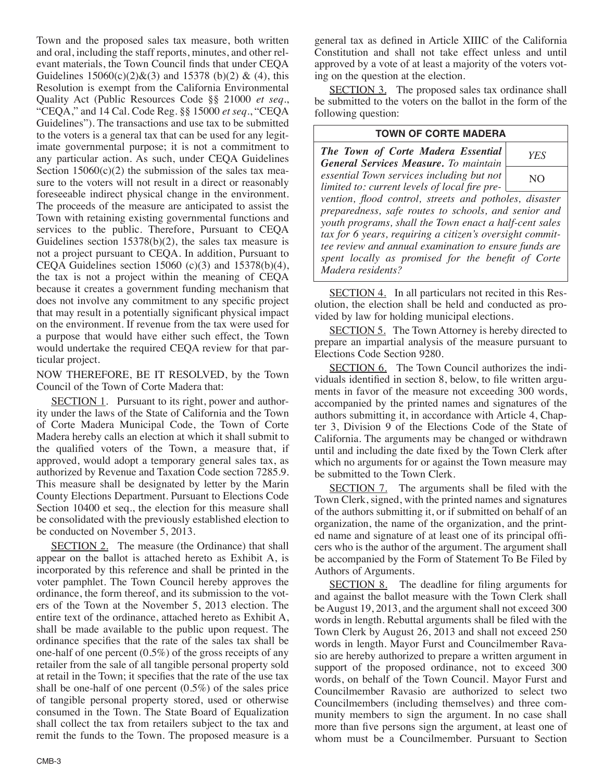Town and the proposed sales tax measure, both written and oral, including the staff reports, minutes, and other relevant materials, the Town Council finds that under CEQA Guidelines  $15060(c)(2) & (3)$  and  $15378$  (b)(2) & (4), this Resolution is exempt from the California Environmental Quality Act (Public Resources Code §§ 21000 *et seq*., "CEQA," and 14 Cal. Code Reg. §§ 15000 *et seq*., "CEQA Guidelines"). The transactions and use tax to be submitted to the voters is a general tax that can be used for any legitimate governmental purpose; it is not a commitment to any particular action. As such, under CEQA Guidelines Section  $15060(c)(2)$  the submission of the sales tax measure to the voters will not result in a direct or reasonably foreseeable indirect physical change in the environment. The proceeds of the measure are anticipated to assist the Town with retaining existing governmental functions and services to the public. Therefore, Pursuant to CEQA Guidelines section 15378(b)(2), the sales tax measure is not a project pursuant to CEQA. In addition, Pursuant to CEQA Guidelines section  $15060$  (c)(3) and  $15378(b)(4)$ , the tax is not a project within the meaning of CEQA because it creates a government funding mechanism that does not involve any commitment to any specific project that may result in a potentially significant physical impact on the environment. If revenue from the tax were used for a purpose that would have either such effect, the Town would undertake the required CEQA review for that particular project.

NOW THEREFORE, BE IT RESOLVED, by the Town Council of the Town of Corte Madera that:

SECTION 1. Pursuant to its right, power and authority under the laws of the State of California and the Town of Corte Madera Municipal Code, the Town of Corte Madera hereby calls an election at which it shall submit to the qualified voters of the Town, a measure that, if approved, would adopt a temporary general sales tax, as authorized by Revenue and Taxation Code section 7285.9. This measure shall be designated by letter by the Marin County Elections Department. Pursuant to Elections Code Section 10400 et seq., the election for this measure shall be consolidated with the previously established election to be conducted on November 5, 2013.

SECTION 2. The measure (the Ordinance) that shall appear on the ballot is attached hereto as Exhibit A, is incorporated by this reference and shall be printed in the voter pamphlet. The Town Council hereby approves the ordinance, the form thereof, and its submission to the voters of the Town at the November 5, 2013 election. The entire text of the ordinance, attached hereto as Exhibit A, shall be made available to the public upon request. The ordinance specifies that the rate of the sales tax shall be one-half of one percent (0.5%) of the gross receipts of any retailer from the sale of all tangible personal property sold at retail in the Town; it specifies that the rate of the use tax shall be one-half of one percent (0.5%) of the sales price of tangible personal property stored, used or otherwise consumed in the Town. The State Board of Equalization shall collect the tax from retailers subject to the tax and remit the funds to the Town. The proposed measure is a general tax as defined in Article XIIIC of the California Constitution and shall not take effect unless and until approved by a vote of at least a majority of the voters voting on the question at the election.

SECTION 3. The proposed sales tax ordinance shall be submitted to the voters on the ballot in the form of the following question:

#### **TOWN OF CORTE MADERA**

*The Town of Corte Madera Essential General Services Measure. To maintain essential Town services including but not limited to: current levels of local fire prevention, flood control, streets and potholes, disaster preparedness, safe routes to schools, and senior and youth programs, shall the Town enact a half-cent sales tax for 6 years, requiring a citizen's oversight committee review and annual examination to ensure funds are spent locally as promised for the benefit of Corte Madera residents? YES* NO

SECTION 4. In all particulars not recited in this Resolution, the election shall be held and conducted as provided by law for holding municipal elections.

SECTION 5. The Town Attorney is hereby directed to prepare an impartial analysis of the measure pursuant to Elections Code Section 9280.

SECTION 6. The Town Council authorizes the individuals identified in section 8, below, to file written arguments in favor of the measure not exceeding 300 words, accompanied by the printed names and signatures of the authors submitting it, in accordance with Article 4, Chapter 3, Division 9 of the Elections Code of the State of California. The arguments may be changed or withdrawn until and including the date fixed by the Town Clerk after which no arguments for or against the Town measure may be submitted to the Town Clerk.

SECTION 7. The arguments shall be filed with the Town Clerk, signed, with the printed names and signatures of the authors submitting it, or if submitted on behalf of an organization, the name of the organization, and the printed name and signature of at least one of its principal officers who is the author of the argument. The argument shall be accompanied by the Form of Statement To Be Filed by Authors of Arguments.

SECTION 8. The deadline for filing arguments for and against the ballot measure with the Town Clerk shall be August 19, 2013, and the argument shall not exceed 300 words in length. Rebuttal arguments shall be filed with the Town Clerk by August 26, 2013 and shall not exceed 250 words in length. Mayor Furst and Councilmember Ravasio are hereby authorized to prepare a written argument in support of the proposed ordinance, not to exceed 300 words, on behalf of the Town Council. Mayor Furst and Councilmember Ravasio are authorized to select two Councilmembers (including themselves) and three community members to sign the argument. In no case shall more than five persons sign the argument, at least one of whom must be a Councilmember. Pursuant to Section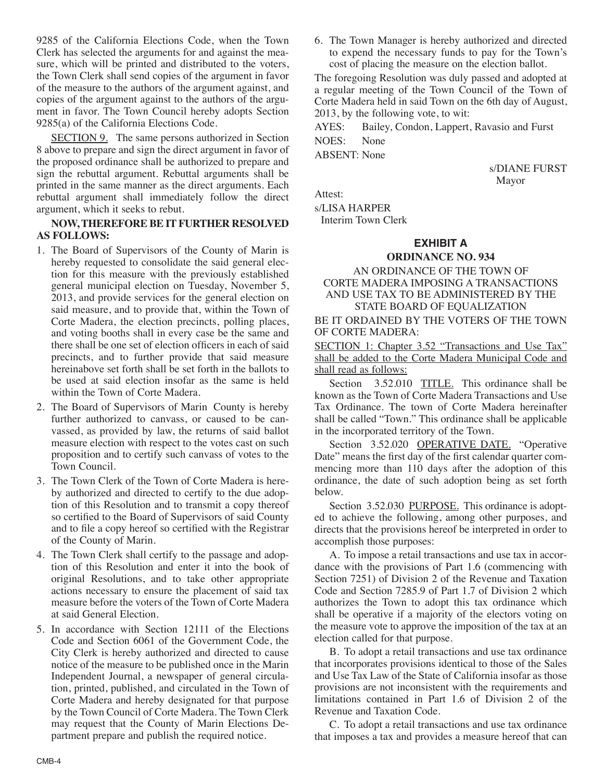9285 of the California Elections Code, when the Town Clerk has selected the arguments for and against the measure, which will be printed and distributed to the voters, the Town Clerk shall send copies of the argument in favor of the measure to the authors of the argument against, and copies of the argument against to the authors of the argument in favor. The Town Council hereby adopts Section 9285(a) of the California Elections Code.

SECTION 9. The same persons authorized in Section 8 above to prepare and sign the direct argument in favor of the proposed ordinance shall be authorized to prepare and sign the rebuttal argument. Rebuttal arguments shall be printed in the same manner as the direct arguments. Each rebuttal argument shall immediately follow the direct argument, which it seeks to rebut.

#### **NOW,THEREFORE BE ITFURTHER RESOLVED AS FOLLOWS:**

- 1. The Board of Supervisors of the County of Marin is hereby requested to consolidate the said general election for this measure with the previously established general municipal election on Tuesday, November 5, 2013, and provide services for the general election on said measure, and to provide that, within the Town of Corte Madera, the election precincts, polling places, and voting booths shall in every case be the same and there shall be one set of election officers in each of said precincts, and to further provide that said measure hereinabove set forth shall be set forth in the ballots to be used at said election insofar as the same is held within the Town of Corte Madera.
- 2. The Board of Supervisors of Marin County is hereby further authorized to canvass, or caused to be canvassed, as provided by law, the returns of said ballot measure election with respect to the votes cast on such proposition and to certify such canvass of votes to the Town Council.
- 3. The Town Clerk of the Town of Corte Madera is hereby authorized and directed to certify to the due adoption of this Resolution and to transmit a copy thereof so certified to the Board of Supervisors of said County and to file a copy hereof so certified with the Registrar of the County of Marin.
- 4. The Town Clerk shall certify to the passage and adoption of this Resolution and enter it into the book of original Resolutions, and to take other appropriate actions necessary to ensure the placement of said tax measure before the voters of the Town of Corte Madera at said General Election.

5. In accordance with Section 12111 of the Elections Code and Section 6061 of the Government Code, the City Clerk is hereby authorized and directed to cause notice of the measure to be published once in the Marin Independent Journal, a newspaper of general circulation, printed, published, and circulated in the Town of Corte Madera and hereby designated for that purpose by the Town Council of Corte Madera. The Town Clerk may request that the County of Marin Elections Department prepare and publish the required notice.

6. The Town Manager is hereby authorized and directed to expend the necessary funds to pay for the Town's cost of placing the measure on the election ballot.

The foregoing Resolution was duly passed and adopted at a regular meeting of the Town Council of the Town of Corte Madera held in said Town on the 6th day of August, 2013, by the following vote, to wit:

AYES: Bailey, Condon, Lappert, Ravasio and Furst NOES: None

ABSENT: None

s/DIANE FURST Mayor

Attest:

s/LISA HARPER

Interim Town Clerk

### **EXHIBIT A**

### **ORDINANCE NO. 934**

#### AN ORDINANCE OF THE TOWN OF CORTE MADERA IMPOSING A TRANSACTIONS AND USE TAX TO BE ADMINISTERED BY THE STATE BOARD OF EQUALIZATION

BE IT ORDAINED BY THE VOTERS OF THE TOWN OF CORTE MADERA:

SECTION 1: Chapter 3.52 "Transactions and Use Tax" shall be added to the Corte Madera Municipal Code and shall read as follows:

Section 3.52.010 TITLE. This ordinance shall be known as the Town of Corte Madera Transactions and Use Tax Ordinance. The town of Corte Madera hereinafter shall be called "Town." This ordinance shall be applicable in the incorporated territory of the Town.

Section 3.52.020 OPERATIVE DATE. "Operative Date" means the first day of the first calendar quarter commencing more than 110 days after the adoption of this ordinance, the date of such adoption being as set forth below.

Section 3.52.030 PURPOSE. This ordinance is adopted to achieve the following, among other purposes, and directs that the provisions hereof be interpreted in order to accomplish those purposes:

A. To impose a retail transactions and use tax in accordance with the provisions of Part 1.6 (commencing with Section 7251) of Division 2 of the Revenue and Taxation Code and Section 7285.9 of Part 1.7 of Division 2 which authorizes the Town to adopt this tax ordinance which shall be operative if a majority of the electors voting on the measure vote to approve the imposition of the tax at an election called for that purpose.

B. To adopt a retail transactions and use tax ordinance that incorporates provisions identical to those of the Sales and Use Tax Law of the State of California insofar as those provisions are not inconsistent with the requirements and limitations contained in Part 1.6 of Division 2 of the Revenue and Taxation Code.

C. To adopt a retail transactions and use tax ordinance that imposes a tax and provides a measure hereof that can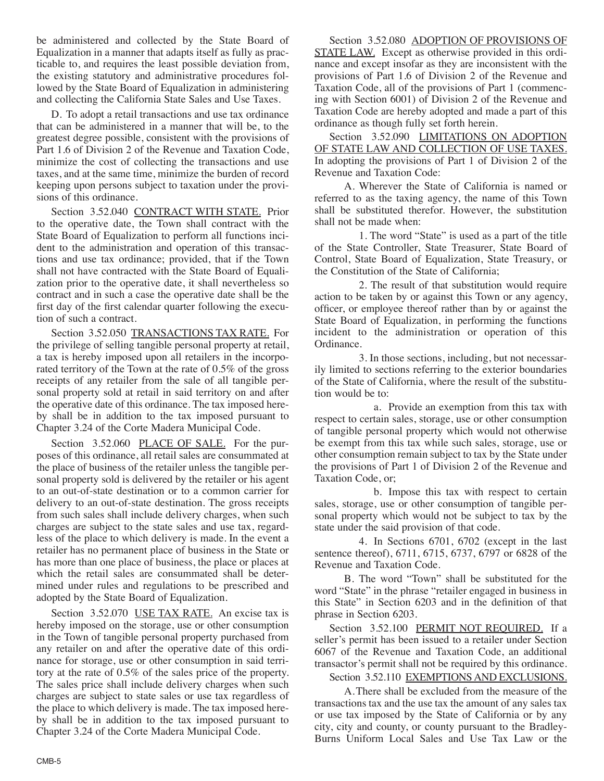be administered and collected by the State Board of Equalization in a manner that adapts itself as fully as practicable to, and requires the least possible deviation from, the existing statutory and administrative procedures followed by the State Board of Equalization in administering and collecting the California State Sales and Use Taxes.

D. To adopt a retail transactions and use tax ordinance that can be administered in a manner that will be, to the greatest degree possible, consistent with the provisions of Part 1.6 of Division 2 of the Revenue and Taxation Code, minimize the cost of collecting the transactions and use taxes, and at the same time, minimize the burden of record keeping upon persons subject to taxation under the provisions of this ordinance.

Section 3.52.040 CONTRACT WITH STATE. Prior to the operative date, the Town shall contract with the State Board of Equalization to perform all functions incident to the administration and operation of this transactions and use tax ordinance; provided, that if the Town shall not have contracted with the State Board of Equalization prior to the operative date, it shall nevertheless so contract and in such a case the operative date shall be the first day of the first calendar quarter following the execution of such a contract.

Section 3.52.050 TRANSACTIONS TAX RATE. For the privilege of selling tangible personal property at retail, a tax is hereby imposed upon all retailers in the incorporated territory of the Town at the rate of 0.5% of the gross receipts of any retailer from the sale of all tangible personal property sold at retail in said territory on and after the operative date of this ordinance. The tax imposed hereby shall be in addition to the tax imposed pursuant to Chapter 3.24 of the Corte Madera Municipal Code.

Section 3.52.060 PLACE OF SALE. For the purposes of this ordinance, all retail sales are consummated at the place of business of the retailer unless the tangible personal property sold is delivered by the retailer or his agent to an out-of-state destination or to a common carrier for delivery to an out-of-state destination. The gross receipts from such sales shall include delivery charges, when such charges are subject to the state sales and use tax, regardless of the place to which delivery is made. In the event a retailer has no permanent place of business in the State or has more than one place of business, the place or places at which the retail sales are consummated shall be determined under rules and regulations to be prescribed and adopted by the State Board of Equalization.

Section 3.52.070 USE TAX RATE. An excise tax is hereby imposed on the storage, use or other consumption in the Town of tangible personal property purchased from any retailer on and after the operative date of this ordinance for storage, use or other consumption in said territory at the rate of 0.5% of the sales price of the property. The sales price shall include delivery charges when such charges are subject to state sales or use tax regardless of the place to which delivery is made. The tax imposed hereby shall be in addition to the tax imposed pursuant to Chapter 3.24 of the Corte Madera Municipal Code.

Section 3.52.080 ADOPTION OF PROVISIONS OF STATE LAW. Except as otherwise provided in this ordinance and except insofar as they are inconsistent with the provisions of Part 1.6 of Division 2 of the Revenue and Taxation Code, all of the provisions of Part 1 (commencing with Section 6001) of Division 2 of the Revenue and Taxation Code are hereby adopted and made a part of this ordinance as though fully set forth herein.

Section 3.52.090 LIMITATIONS ON ADOPTION OF STATE LAW AND COLLECTION OF USE TAXES. In adopting the provisions of Part 1 of Division 2 of the Revenue and Taxation Code:

A. Wherever the State of California is named or referred to as the taxing agency, the name of this Town shall be substituted therefor. However, the substitution shall not be made when:

1. The word "State" is used as a part of the title of the State Controller, State Treasurer, State Board of Control, State Board of Equalization, State Treasury, or the Constitution of the State of California;

2. The result of that substitution would require action to be taken by or against this Town or any agency, officer, or employee thereof rather than by or against the State Board of Equalization, in performing the functions incident to the administration or operation of this Ordinance.

3. In those sections, including, but not necessarily limited to sections referring to the exterior boundaries of the State of California, where the result of the substitution would be to:

a. Provide an exemption from this tax with respect to certain sales, storage, use or other consumption of tangible personal property which would not otherwise be exempt from this tax while such sales, storage, use or other consumption remain subject to tax by the State under the provisions of Part 1 of Division 2 of the Revenue and Taxation Code, or;

b. Impose this tax with respect to certain sales, storage, use or other consumption of tangible personal property which would not be subject to tax by the state under the said provision of that code.

4. In Sections 6701, 6702 (except in the last sentence thereof), 6711, 6715, 6737, 6797 or 6828 of the Revenue and Taxation Code.

B. The word "Town" shall be substituted for the word "State" in the phrase "retailer engaged in business in this State" in Section 6203 and in the definition of that phrase in Section 6203.

Section 3.52.100 PERMIT NOT REQUIRED. If a seller's permit has been issued to a retailer under Section 6067 of the Revenue and Taxation Code, an additional transactor's permit shall not be required by this ordinance.

Section 3.52.110 EXEMPTIONS AND EXCLUSIONS.

A.There shall be excluded from the measure of the transactions tax and the use tax the amount of any sales tax or use tax imposed by the State of California or by any city, city and county, or county pursuant to the Bradley-Burns Uniform Local Sales and Use Tax Law or the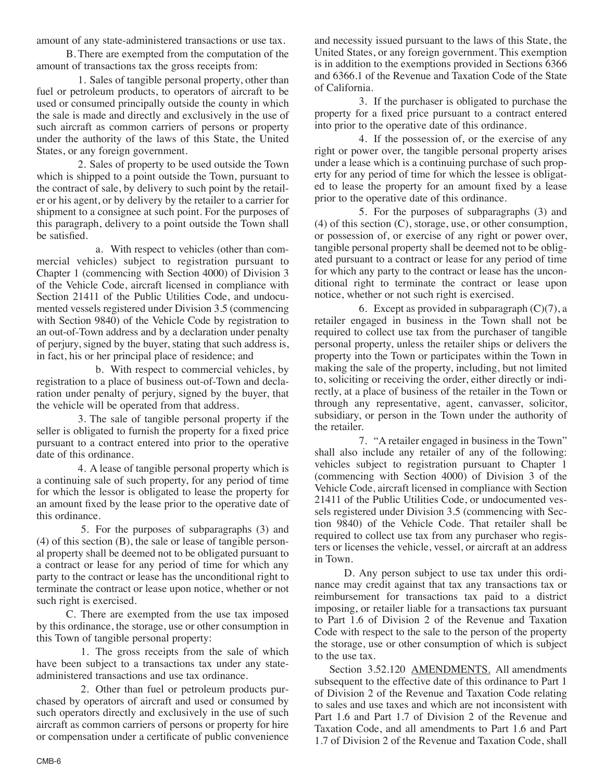amount of any state-administered transactions or use tax.

B. There are exempted from the computation of the amount of transactions tax the gross receipts from:

1. Sales of tangible personal property, other than fuel or petroleum products, to operators of aircraft to be used or consumed principally outside the county in which the sale is made and directly and exclusively in the use of such aircraft as common carriers of persons or property under the authority of the laws of this State, the United States, or any foreign government.

2. Sales of property to be used outside the Town which is shipped to a point outside the Town, pursuant to the contract of sale, by delivery to such point by the retailer or his agent, or by delivery by the retailer to a carrier for shipment to a consignee at such point. For the purposes of this paragraph, delivery to a point outside the Town shall be satisfied.

a. With respect to vehicles (other than commercial vehicles) subject to registration pursuant to Chapter 1 (commencing with Section 4000) of Division 3 of the Vehicle Code, aircraft licensed in compliance with Section 21411 of the Public Utilities Code, and undocumented vessels registered under Division 3.5 (commencing with Section 9840) of the Vehicle Code by registration to an out-of-Town address and by a declaration under penalty of perjury, signed by the buyer, stating that such address is, in fact, his or her principal place of residence; and

b. With respect to commercial vehicles, by registration to a place of business out-of-Town and declaration under penalty of perjury, signed by the buyer, that the vehicle will be operated from that address.

3. The sale of tangible personal property if the seller is obligated to furnish the property for a fixed price pursuant to a contract entered into prior to the operative date of this ordinance.

4. A lease of tangible personal property which is a continuing sale of such property, for any period of time for which the lessor is obligated to lease the property for an amount fixed by the lease prior to the operative date of this ordinance.

5. For the purposes of subparagraphs (3) and (4) of this section (B), the sale or lease of tangible personal property shall be deemed not to be obligated pursuant to a contract or lease for any period of time for which any party to the contract or lease has the unconditional right to terminate the contract or lease upon notice, whether or not such right is exercised.

C. There are exempted from the use tax imposed by this ordinance, the storage, use or other consumption in this Town of tangible personal property:

1. The gross receipts from the sale of which have been subject to a transactions tax under any stateadministered transactions and use tax ordinance.

2. Other than fuel or petroleum products purchased by operators of aircraft and used or consumed by such operators directly and exclusively in the use of such aircraft as common carriers of persons or property for hire or compensation under a certificate of public convenience and necessity issued pursuant to the laws of this State, the United States, or any foreign government. This exemption is in addition to the exemptions provided in Sections 6366 and 6366.1 of the Revenue and Taxation Code of the State of California.

3. If the purchaser is obligated to purchase the property for a fixed price pursuant to a contract entered into prior to the operative date of this ordinance.

4. If the possession of, or the exercise of any right or power over, the tangible personal property arises under a lease which is a continuing purchase of such property for any period of time for which the lessee is obligated to lease the property for an amount fixed by a lease prior to the operative date of this ordinance.

5. For the purposes of subparagraphs (3) and (4) of this section (C), storage, use, or other consumption, or possession of, or exercise of any right or power over, tangible personal property shall be deemed not to be obligated pursuant to a contract or lease for any period of time for which any party to the contract or lease has the unconditional right to terminate the contract or lease upon notice, whether or not such right is exercised.

6. Except as provided in subparagraph  $(C)(7)$ , a retailer engaged in business in the Town shall not be required to collect use tax from the purchaser of tangible personal property, unless the retailer ships or delivers the property into the Town or participates within the Town in making the sale of the property, including, but not limited to, soliciting or receiving the order, either directly or indirectly, at a place of business of the retailer in the Town or through any representative, agent, canvasser, solicitor, subsidiary, or person in the Town under the authority of the retailer.

7. "A retailer engaged in business in the Town" shall also include any retailer of any of the following: vehicles subject to registration pursuant to Chapter 1 (commencing with Section 4000) of Division 3 of the Vehicle Code, aircraft licensed in compliance with Section 21411 of the Public Utilities Code, or undocumented vessels registered under Division 3.5 (commencing with Section 9840) of the Vehicle Code. That retailer shall be required to collect use tax from any purchaser who registers or licenses the vehicle, vessel, or aircraft at an address in Town.

D. Any person subject to use tax under this ordinance may credit against that tax any transactions tax or reimbursement for transactions tax paid to a district imposing, or retailer liable for a transactions tax pursuant to Part 1.6 of Division 2 of the Revenue and Taxation Code with respect to the sale to the person of the property the storage, use or other consumption of which is subject to the use tax.

Section 3.52.120 **AMENDMENTS**. All amendments subsequent to the effective date of this ordinance to Part 1 of Division 2 of the Revenue and Taxation Code relating to sales and use taxes and which are not inconsistent with Part 1.6 and Part 1.7 of Division 2 of the Revenue and Taxation Code, and all amendments to Part 1.6 and Part 1.7 of Division 2 of the Revenue and Taxation Code, shall